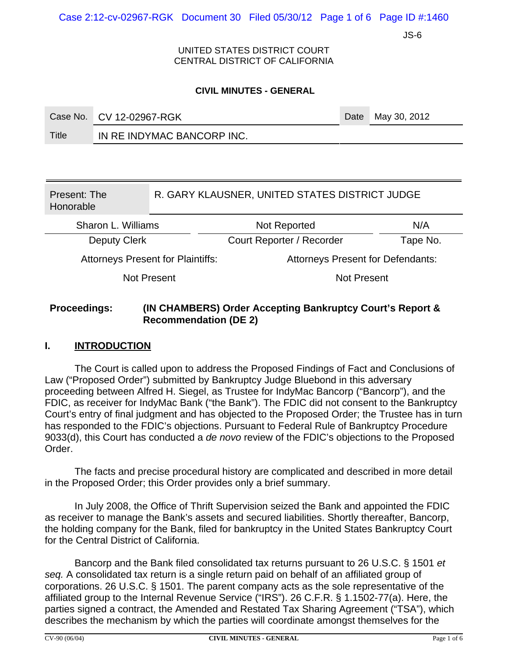Case 2:12-cv-02967-RGK Document 30 Filed 05/30/12 Page 1 of 6 Page ID #:1460

JS-6

UNITED STATES DISTRICT COURT CENTRAL DISTRICT OF CALIFORNIA

#### **CIVIL MINUTES - GENERAL**

|       | Case No. CV 12-02967-RGK   | Date May 30, 2012 |
|-------|----------------------------|-------------------|
| Title | IN RE INDYMAC BANCORP INC. |                   |

| Present: The<br>Honorable                | R. GARY KLAUSNER, UNITED STATES DISTRICT JUDGE |                                          |          |  |
|------------------------------------------|------------------------------------------------|------------------------------------------|----------|--|
| Sharon L. Williams                       |                                                | Not Reported                             | N/A      |  |
| <b>Deputy Clerk</b>                      |                                                | Court Reporter / Recorder                | Tape No. |  |
| <b>Attorneys Present for Plaintiffs:</b> |                                                | <b>Attorneys Present for Defendants:</b> |          |  |
| Not Present                              |                                                | <b>Not Present</b>                       |          |  |

### **Proceedings: (IN CHAMBERS) Order Accepting Bankruptcy Court's Report & Recommendation (DE 2)**

### **I. INTRODUCTION**

The Court is called upon to address the Proposed Findings of Fact and Conclusions of Law ("Proposed Order") submitted by Bankruptcy Judge Bluebond in this adversary proceeding between Alfred H. Siegel, as Trustee for IndyMac Bancorp ("Bancorp"), and the FDIC, as receiver for IndyMac Bank ("the Bank"). The FDIC did not consent to the Bankruptcy Court's entry of final judgment and has objected to the Proposed Order; the Trustee has in turn has responded to the FDIC's objections. Pursuant to Federal Rule of Bankruptcy Procedure 9033(d), this Court has conducted a *de novo* review of the FDIC's objections to the Proposed Order.

The facts and precise procedural history are complicated and described in more detail in the Proposed Order; this Order provides only a brief summary.

In July 2008, the Office of Thrift Supervision seized the Bank and appointed the FDIC as receiver to manage the Bank's assets and secured liabilities. Shortly thereafter, Bancorp, the holding company for the Bank, filed for bankruptcy in the United States Bankruptcy Court for the Central District of California.

Bancorp and the Bank filed consolidated tax returns pursuant to 26 U.S.C. § 1501 *et seq.* A consolidated tax return is a single return paid on behalf of an affiliated group of corporations. 26 U.S.C. § 1501. The parent company acts as the sole representative of the affiliated group to the Internal Revenue Service ("IRS"). 26 C.F.R. § 1.1502-77(a). Here, the parties signed a contract, the Amended and Restated Tax Sharing Agreement ("TSA"), which describes the mechanism by which the parties will coordinate amongst themselves for the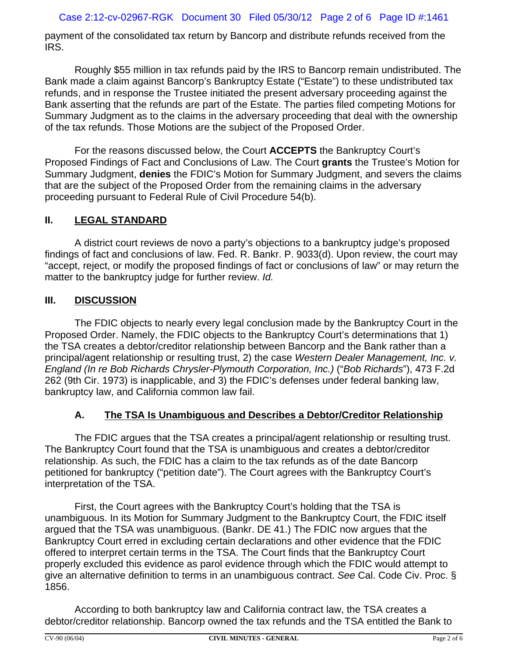payment of the consolidated tax return by Bancorp and distribute refunds received from the IRS.

Roughly \$55 million in tax refunds paid by the IRS to Bancorp remain undistributed. The Bank made a claim against Bancorp's Bankruptcy Estate ("Estate") to these undistributed tax refunds, and in response the Trustee initiated the present adversary proceeding against the Bank asserting that the refunds are part of the Estate. The parties filed competing Motions for Summary Judgment as to the claims in the adversary proceeding that deal with the ownership of the tax refunds. Those Motions are the subject of the Proposed Order.

For the reasons discussed below, the Court **ACCEPTS** the Bankruptcy Court's Proposed Findings of Fact and Conclusions of Law. The Court **grants** the Trustee's Motion for Summary Judgment, **denies** the FDIC's Motion for Summary Judgment, and severs the claims that are the subject of the Proposed Order from the remaining claims in the adversary proceeding pursuant to Federal Rule of Civil Procedure 54(b).

### **II. LEGAL STANDARD**

A district court reviews de novo a party's objections to a bankruptcy judge's proposed findings of fact and conclusions of law. Fed. R. Bankr. P. 9033(d). Upon review, the court may "accept, reject, or modify the proposed findings of fact or conclusions of law" or may return the matter to the bankruptcy judge for further review. *Id.*

### **III. DISCUSSION**

The FDIC objects to nearly every legal conclusion made by the Bankruptcy Court in the Proposed Order. Namely, the FDIC objects to the Bankruptcy Court's determinations that 1) the TSA creates a debtor/creditor relationship between Bancorp and the Bank rather than a principal/agent relationship or resulting trust, 2) the case *Western Dealer Management, Inc. v. England (In re Bob Richards Chrysler-Plymouth Corporation, Inc.)* ("*Bob Richards*"), 473 F.2d 262 (9th Cir. 1973) is inapplicable, and 3) the FDIC's defenses under federal banking law, bankruptcy law, and California common law fail.

## **A. The TSA Is Unambiguous and Describes a Debtor/Creditor Relationship**

The FDIC argues that the TSA creates a principal/agent relationship or resulting trust. The Bankruptcy Court found that the TSA is unambiguous and creates a debtor/creditor relationship. As such, the FDIC has a claim to the tax refunds as of the date Bancorp petitioned for bankruptcy ("petition date"). The Court agrees with the Bankruptcy Court's interpretation of the TSA.

First, the Court agrees with the Bankruptcy Court's holding that the TSA is unambiguous. In its Motion for Summary Judgment to the Bankruptcy Court, the FDIC itself argued that the TSA was unambiguous. (Bankr. DE 41.) The FDIC now argues that the Bankruptcy Court erred in excluding certain declarations and other evidence that the FDIC offered to interpret certain terms in the TSA. The Court finds that the Bankruptcy Court properly excluded this evidence as parol evidence through which the FDIC would attempt to give an alternative definition to terms in an unambiguous contract. *See* Cal. Code Civ. Proc. § 1856.

According to both bankruptcy law and California contract law, the TSA creates a debtor/creditor relationship. Bancorp owned the tax refunds and the TSA entitled the Bank to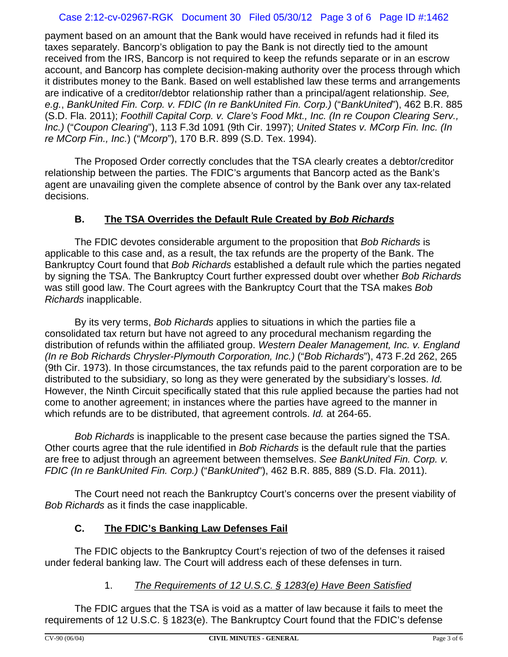### Case 2:12-cv-02967-RGK Document 30 Filed 05/30/12 Page 3 of 6 Page ID #:1462

payment based on an amount that the Bank would have received in refunds had it filed its taxes separately. Bancorp's obligation to pay the Bank is not directly tied to the amount received from the IRS, Bancorp is not required to keep the refunds separate or in an escrow account, and Bancorp has complete decision-making authority over the process through which it distributes money to the Bank. Based on well established law these terms and arrangements are indicative of a creditor/debtor relationship rather than a principal/agent relationship. *See, e.g.*, *BankUnited Fin. Corp. v. FDIC (In re BankUnited Fin. Corp.)* ("*BankUnited*"), 462 B.R. 885 (S.D. Fla. 2011); *Foothill Capital Corp. v. Clare's Food Mkt., Inc. (In re Coupon Clearing Serv., Inc.)* ("*Coupon Clearing*"), 113 F.3d 1091 (9th Cir. 1997); *United States v. MCorp Fin. Inc. (In re MCorp Fin., Inc.*) ("*Mcorp*"), 170 B.R. 899 (S.D. Tex. 1994).

The Proposed Order correctly concludes that the TSA clearly creates a debtor/creditor relationship between the parties. The FDIC's arguments that Bancorp acted as the Bank's agent are unavailing given the complete absence of control by the Bank over any tax-related decisions.

### **B. The TSA Overrides the Default Rule Created by** *Bob Richards*

The FDIC devotes considerable argument to the proposition that *Bob Richards* is applicable to this case and, as a result, the tax refunds are the property of the Bank. The Bankruptcy Court found that *Bob Richards* established a default rule which the parties negated by signing the TSA. The Bankruptcy Court further expressed doubt over whether *Bob Richards* was still good law. The Court agrees with the Bankruptcy Court that the TSA makes *Bob Richards* inapplicable.

By its very terms, *Bob Richards* applies to situations in which the parties file a consolidated tax return but have not agreed to any procedural mechanism regarding the distribution of refunds within the affiliated group. *Western Dealer Management, Inc. v. England (In re Bob Richards Chrysler-Plymouth Corporation, Inc.)* ("*Bob Richards*"), 473 F.2d 262, 265 (9th Cir. 1973). In those circumstances, the tax refunds paid to the parent corporation are to be distributed to the subsidiary, so long as they were generated by the subsidiary's losses. *Id.* However, the Ninth Circuit specifically stated that this rule applied because the parties had not come to another agreement; in instances where the parties have agreed to the manner in which refunds are to be distributed, that agreement controls. *Id.* at 264-65.

*Bob Richards* is inapplicable to the present case because the parties signed the TSA. Other courts agree that the rule identified in *Bob Richards* is the default rule that the parties are free to adjust through an agreement between themselves. *See BankUnited Fin. Corp. v. FDIC (In re BankUnited Fin. Corp.)* ("*BankUnited*"), 462 B.R. 885, 889 (S.D. Fla. 2011).

The Court need not reach the Bankruptcy Court's concerns over the present viability of *Bob Richards* as it finds the case inapplicable.

## **C. The FDIC's Banking Law Defenses Fail**

The FDIC objects to the Bankruptcy Court's rejection of two of the defenses it raised under federal banking law. The Court will address each of these defenses in turn.

## 1. *The Requirements of 12 U.S.C. § 1283(e) Have Been Satisfied*

The FDIC argues that the TSA is void as a matter of law because it fails to meet the requirements of 12 U.S.C. § 1823(e). The Bankruptcy Court found that the FDIC's defense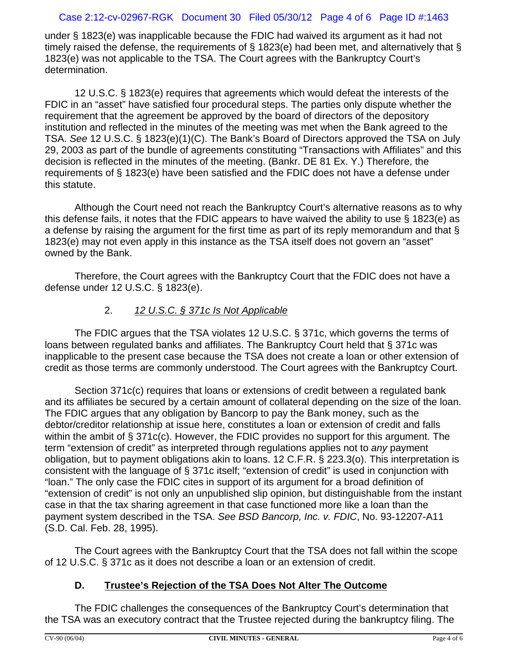### Case 2:12-cv-02967-RGK Document 30 Filed 05/30/12 Page 4 of 6 Page ID #:1463

under § 1823(e) was inapplicable because the FDIC had waived its argument as it had not timely raised the defense, the requirements of § 1823(e) had been met, and alternatively that § 1823(e) was not applicable to the TSA. The Court agrees with the Bankruptcy Court's determination.

12 U.S.C. § 1823(e) requires that agreements which would defeat the interests of the FDIC in an "asset" have satisfied four procedural steps. The parties only dispute whether the requirement that the agreement be approved by the board of directors of the depository institution and reflected in the minutes of the meeting was met when the Bank agreed to the TSA. *See* 12 U.S.C. § 1823(e)(1)(C). The Bank's Board of Directors approved the TSA on July 29, 2003 as part of the bundle of agreements constituting "Transactions with Affiliates" and this decision is reflected in the minutes of the meeting. (Bankr. DE 81 Ex. Y.) Therefore, the requirements of § 1823(e) have been satisfied and the FDIC does not have a defense under this statute.

Although the Court need not reach the Bankruptcy Court's alternative reasons as to why this defense fails, it notes that the FDIC appears to have waived the ability to use § 1823(e) as a defense by raising the argument for the first time as part of its reply memorandum and that § 1823(e) may not even apply in this instance as the TSA itself does not govern an "asset" owned by the Bank.

Therefore, the Court agrees with the Bankruptcy Court that the FDIC does not have a defense under 12 U.S.C. § 1823(e).

# 2. *12 U.S.C. § 371c Is Not Applicable*

The FDIC argues that the TSA violates 12 U.S.C. § 371c, which governs the terms of loans between regulated banks and affiliates. The Bankruptcy Court held that § 371c was inapplicable to the present case because the TSA does not create a loan or other extension of credit as those terms are commonly understood. The Court agrees with the Bankruptcy Court.

Section 371c(c) requires that loans or extensions of credit between a regulated bank and its affiliates be secured by a certain amount of collateral depending on the size of the loan. The FDIC argues that any obligation by Bancorp to pay the Bank money, such as the debtor/creditor relationship at issue here, constitutes a loan or extension of credit and falls within the ambit of § 371c(c). However, the FDIC provides no support for this argument. The term "extension of credit" as interpreted through regulations applies not to *any* payment obligation, but to payment obligations akin to loans. 12 C.F.R. § 223.3(o). This interpretation is consistent with the language of § 371c itself; "extension of credit" is used in conjunction with "loan." The only case the FDIC cites in support of its argument for a broad definition of "extension of credit" is not only an unpublished slip opinion, but distinguishable from the instant case in that the tax sharing agreement in that case functioned more like a loan than the payment system described in the TSA. *See BSD Bancorp, Inc. v. FDIC*, No. 93-12207-A11 (S.D. Cal. Feb. 28, 1995).

The Court agrees with the Bankruptcy Court that the TSA does not fall within the scope of 12 U.S.C. § 371c as it does not describe a loan or an extension of credit.

## **D. Trustee's Rejection of the TSA Does Not Alter The Outcome**

The FDIC challenges the consequences of the Bankruptcy Court's determination that the TSA was an executory contract that the Trustee rejected during the bankruptcy filing. The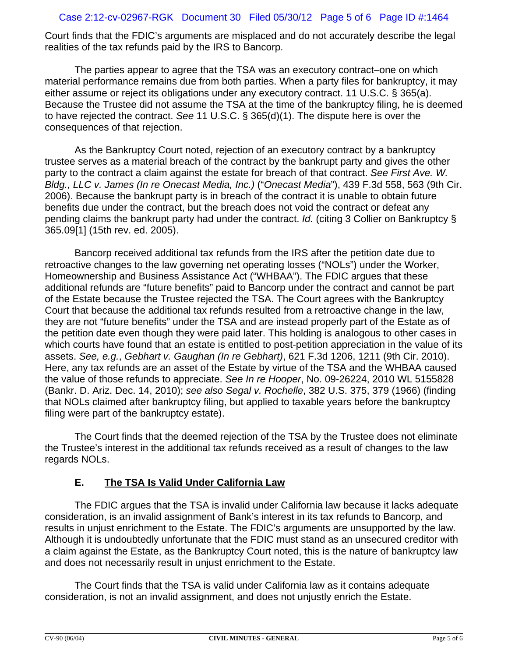### Case 2:12-cv-02967-RGK Document 30 Filed 05/30/12 Page 5 of 6 Page ID #:1464

Court finds that the FDIC's arguments are misplaced and do not accurately describe the legal realities of the tax refunds paid by the IRS to Bancorp.

The parties appear to agree that the TSA was an executory contract–one on which material performance remains due from both parties. When a party files for bankruptcy, it may either assume or reject its obligations under any executory contract. 11 U.S.C. § 365(a). Because the Trustee did not assume the TSA at the time of the bankruptcy filing, he is deemed to have rejected the contract. *See* 11 U.S.C. § 365(d)(1). The dispute here is over the consequences of that rejection.

As the Bankruptcy Court noted, rejection of an executory contract by a bankruptcy trustee serves as a material breach of the contract by the bankrupt party and gives the other party to the contract a claim against the estate for breach of that contract. *See First Ave. W. Bldg., LLC v. James (In re Onecast Media, Inc.)* ("*Onecast Media*"), 439 F.3d 558, 563 (9th Cir. 2006). Because the bankrupt party is in breach of the contract it is unable to obtain future benefits due under the contract, but the breach does not void the contract or defeat any pending claims the bankrupt party had under the contract. *Id.* (citing 3 Collier on Bankruptcy § 365.09[1] (15th rev. ed. 2005).

Bancorp received additional tax refunds from the IRS after the petition date due to retroactive changes to the law governing net operating losses ("NOLs") under the Worker, Homeownership and Business Assistance Act ("WHBAA"). The FDIC argues that these additional refunds are "future benefits" paid to Bancorp under the contract and cannot be part of the Estate because the Trustee rejected the TSA. The Court agrees with the Bankruptcy Court that because the additional tax refunds resulted from a retroactive change in the law, they are not "future benefits" under the TSA and are instead properly part of the Estate as of the petition date even though they were paid later. This holding is analogous to other cases in which courts have found that an estate is entitled to post-petition appreciation in the value of its assets. *See, e.g.*, *Gebhart v. Gaughan (In re Gebhart)*, 621 F.3d 1206, 1211 (9th Cir. 2010). Here, any tax refunds are an asset of the Estate by virtue of the TSA and the WHBAA caused the value of those refunds to appreciate. *See In re Hooper*, No. 09-26224, 2010 WL 5155828 (Bankr. D. Ariz. Dec. 14, 2010); *see also Segal v. Rochelle*, 382 U.S. 375, 379 (1966) (finding that NOLs claimed after bankruptcy filing, but applied to taxable years before the bankruptcy filing were part of the bankruptcy estate).

The Court finds that the deemed rejection of the TSA by the Trustee does not eliminate the Trustee's interest in the additional tax refunds received as a result of changes to the law regards NOLs.

# **E. The TSA Is Valid Under California Law**

The FDIC argues that the TSA is invalid under California law because it lacks adequate consideration, is an invalid assignment of Bank's interest in its tax refunds to Bancorp, and results in unjust enrichment to the Estate. The FDIC's arguments are unsupported by the law. Although it is undoubtedly unfortunate that the FDIC must stand as an unsecured creditor with a claim against the Estate, as the Bankruptcy Court noted, this is the nature of bankruptcy law and does not necessarily result in unjust enrichment to the Estate.

The Court finds that the TSA is valid under California law as it contains adequate consideration, is not an invalid assignment, and does not unjustly enrich the Estate.